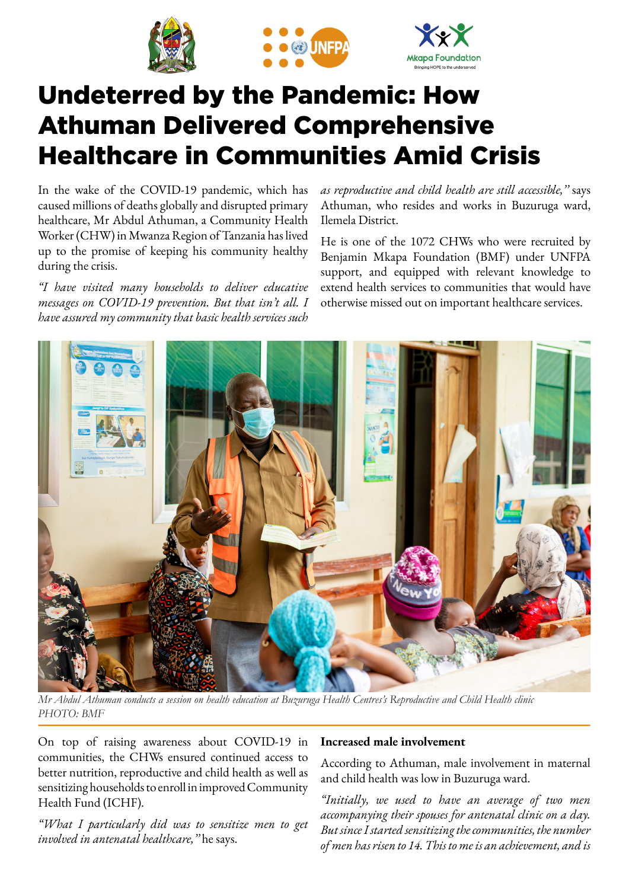





# Undeterred by the Pandemic: How Athuman Delivered Comprehensive Healthcare in Communities Amid Crisis

In the wake of the COVID-19 pandemic, which has caused millions of deaths globally and disrupted primary healthcare, Mr Abdul Athuman, a Community Health Worker (CHW) in Mwanza Region of Tanzania has lived up to the promise of keeping his community healthy during the crisis.

*"I have visited many households to deliver educative messages on COVID-19 prevention. But that isn't all. I have assured my community that basic health services such*  *as reproductive and child health are still accessible,''* says Athuman, who resides and works in Buzuruga ward, Ilemela District.

He is one of the 1072 CHWs who were recruited by Benjamin Mkapa Foundation (BMF) under UNFPA support, and equipped with relevant knowledge to extend health services to communities that would have otherwise missed out on important healthcare services.



*Mr Abdul Athuman conducts a session on health education at Buzuruga Health Centres's Reproductive and Child Health clinic PHOTO: BMF* 

On top of raising awareness about COVID-19 in communities, the CHWs ensured continued access to better nutrition, reproductive and child health as well as sensitizing households to enroll in improved Community Health Fund (ICHF).

*"What I particularly did was to sensitize men to get involved in antenatal healthcare,''* he says.

### **Increased male involvement**

According to Athuman, male involvement in maternal and child health was low in Buzuruga ward.

*"Initially, we used to have an average of two men accompanying their spouses for antenatal clinic on a day. But since I started sensitizing the communities, the number of men has risen to 14. This to me is an achievement, and is*